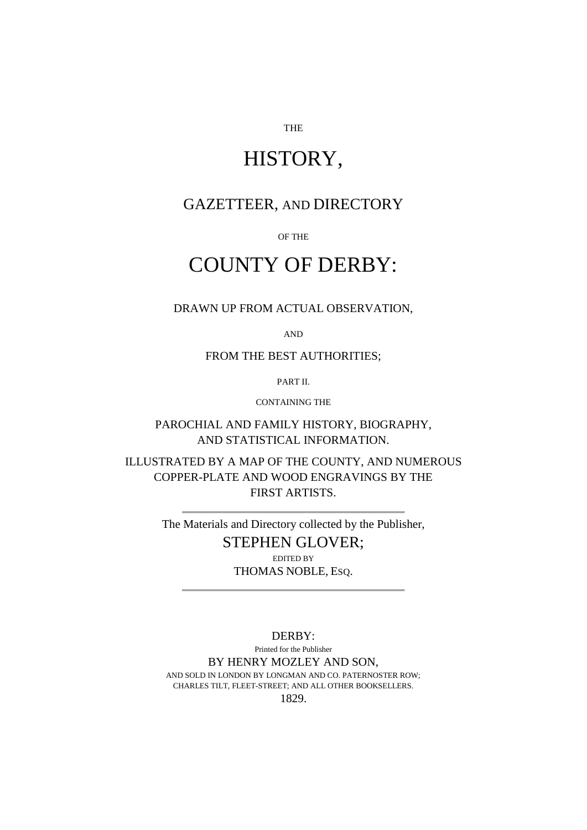THE

## HISTORY,

### GAZETTEER, AND DIRECTORY

OF THE

# COUNTY OF DERBY:

DRAWN UP FROM ACTUAL OBSERVATION,

AND

FROM THE BEST AUTHORITIES;

PART II.

CONTAINING THE

PAROCHIAL AND FAMILY HISTORY, BIOGRAPHY, AND STATISTICAL INFORMATION.

ILLUSTRATED BY A MAP OF THE COUNTY, AND NUMEROUS COPPER-PLATE AND WOOD ENGRAVINGS BY THE FIRST ARTISTS.

> The Materials and Directory collected by the Publisher, STEPHEN GLOVER; EDITED BY THOMAS NOBLE, ESQ.

DERBY: Printed for the Publisher BY HENRY MOZLEY AND SON, AND SOLD IN LONDON BY LONGMAN AND CO. PATERNOSTER ROW; CHARLES TILT, FLEET-STREET; AND ALL OTHER BOOKSELLERS. 1829.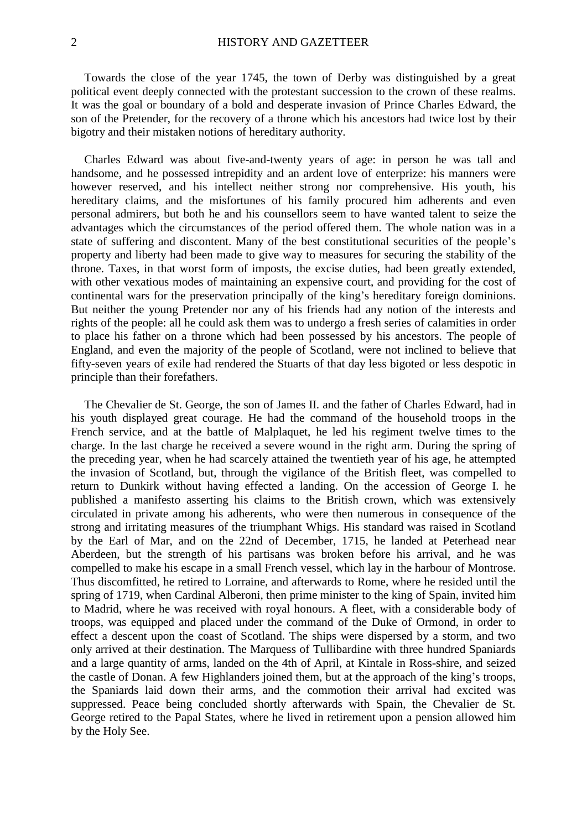Towards the close of the year 1745, the town of Derby was distinguished by a great political event deeply connected with the protestant succession to the crown of these realms. It was the goal or boundary of a bold and desperate invasion of Prince Charles Edward, the son of the Pretender, for the recovery of a throne which his ancestors had twice lost by their bigotry and their mistaken notions of hereditary authority.

Charles Edward was about five-and-twenty years of age: in person he was tall and handsome, and he possessed intrepidity and an ardent love of enterprize: his manners were however reserved, and his intellect neither strong nor comprehensive. His youth, his hereditary claims, and the misfortunes of his family procured him adherents and even personal admirers, but both he and his counsellors seem to have wanted talent to seize the advantages which the circumstances of the period offered them. The whole nation was in a state of suffering and discontent. Many of the best constitutional securities of the people's property and liberty had been made to give way to measures for securing the stability of the throne. Taxes, in that worst form of imposts, the excise duties, had been greatly extended, with other vexatious modes of maintaining an expensive court, and providing for the cost of continental wars for the preservation principally of the king's hereditary foreign dominions. But neither the young Pretender nor any of his friends had any notion of the interests and rights of the people: all he could ask them was to undergo a fresh series of calamities in order to place his father on a throne which had been possessed by his ancestors. The people of England, and even the majority of the people of Scotland, were not inclined to believe that fifty-seven years of exile had rendered the Stuarts of that day less bigoted or less despotic in principle than their forefathers.

The Chevalier de St. George, the son of James II. and the father of Charles Edward, had in his youth displayed great courage. He had the command of the household troops in the French service, and at the battle of Malplaquet, he led his regiment twelve times to the charge. In the last charge he received a severe wound in the right arm. During the spring of the preceding year, when he had scarcely attained the twentieth year of his age, he attempted the invasion of Scotland, but, through the vigilance of the British fleet, was compelled to return to Dunkirk without having effected a landing. On the accession of George I. he published a manifesto asserting his claims to the British crown, which was extensively circulated in private among his adherents, who were then numerous in consequence of the strong and irritating measures of the triumphant Whigs. His standard was raised in Scotland by the Earl of Mar, and on the 22nd of December, 1715, he landed at Peterhead near Aberdeen, but the strength of his partisans was broken before his arrival, and he was compelled to make his escape in a small French vessel, which lay in the harbour of Montrose. Thus discomfitted, he retired to Lorraine, and afterwards to Rome, where he resided until the spring of 1719, when Cardinal Alberoni, then prime minister to the king of Spain, invited him to Madrid, where he was received with royal honours. A fleet, with a considerable body of troops, was equipped and placed under the command of the Duke of Ormond, in order to effect a descent upon the coast of Scotland. The ships were dispersed by a storm, and two only arrived at their destination. The Marquess of Tullibardine with three hundred Spaniards and a large quantity of arms, landed on the 4th of April, at Kintale in Ross-shire, and seized the castle of Donan. A few Highlanders joined them, but at the approach of the king's troops, the Spaniards laid down their arms, and the commotion their arrival had excited was suppressed. Peace being concluded shortly afterwards with Spain, the Chevalier de St. George retired to the Papal States, where he lived in retirement upon a pension allowed him by the Holy See.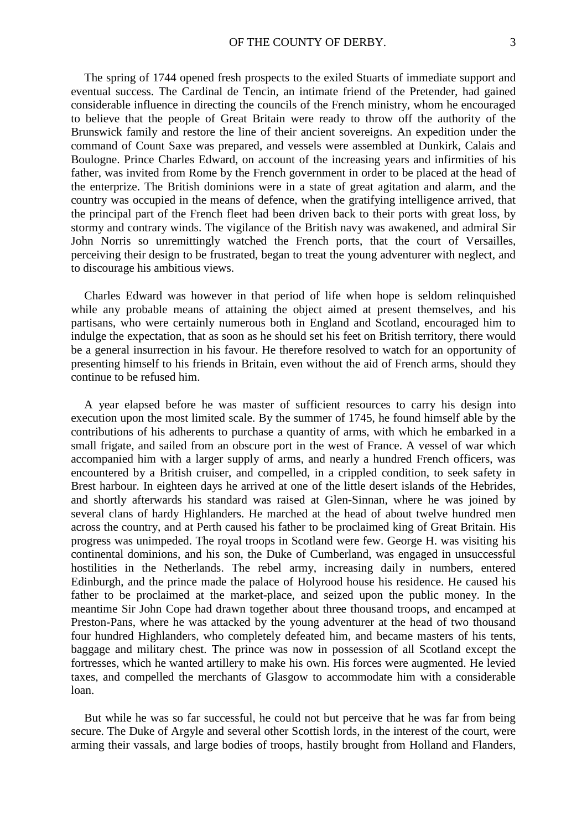The spring of 1744 opened fresh prospects to the exiled Stuarts of immediate support and eventual success. The Cardinal de Tencin, an intimate friend of the Pretender, had gained considerable influence in directing the councils of the French ministry, whom he encouraged to believe that the people of Great Britain were ready to throw off the authority of the Brunswick family and restore the line of their ancient sovereigns. An expedition under the command of Count Saxe was prepared, and vessels were assembled at Dunkirk, Calais and Boulogne. Prince Charles Edward, on account of the increasing years and infirmities of his father, was invited from Rome by the French government in order to be placed at the head of the enterprize. The British dominions were in a state of great agitation and alarm, and the country was occupied in the means of defence, when the gratifying intelligence arrived, that the principal part of the French fleet had been driven back to their ports with great loss, by stormy and contrary winds. The vigilance of the British navy was awakened, and admiral Sir John Norris so unremittingly watched the French ports, that the court of Versailles, perceiving their design to be frustrated, began to treat the young adventurer with neglect, and to discourage his ambitious views.

Charles Edward was however in that period of life when hope is seldom relinquished while any probable means of attaining the object aimed at present themselves, and his partisans, who were certainly numerous both in England and Scotland, encouraged him to indulge the expectation, that as soon as he should set his feet on British territory, there would be a general insurrection in his favour. He therefore resolved to watch for an opportunity of presenting himself to his friends in Britain, even without the aid of French arms, should they continue to be refused him.

A year elapsed before he was master of sufficient resources to carry his design into execution upon the most limited scale. By the summer of 1745, he found himself able by the contributions of his adherents to purchase a quantity of arms, with which he embarked in a small frigate, and sailed from an obscure port in the west of France. A vessel of war which accompanied him with a larger supply of arms, and nearly a hundred French officers, was encountered by a British cruiser, and compelled, in a crippled condition, to seek safety in Brest harbour. In eighteen days he arrived at one of the little desert islands of the Hebrides, and shortly afterwards his standard was raised at Glen-Sinnan, where he was joined by several clans of hardy Highlanders. He marched at the head of about twelve hundred men across the country, and at Perth caused his father to be proclaimed king of Great Britain. His progress was unimpeded. The royal troops in Scotland were few. George H. was visiting his continental dominions, and his son, the Duke of Cumberland, was engaged in unsuccessful hostilities in the Netherlands. The rebel army, increasing daily in numbers, entered Edinburgh, and the prince made the palace of Holyrood house his residence. He caused his father to be proclaimed at the market-place, and seized upon the public money. In the meantime Sir John Cope had drawn together about three thousand troops, and encamped at Preston-Pans, where he was attacked by the young adventurer at the head of two thousand four hundred Highlanders, who completely defeated him, and became masters of his tents, baggage and military chest. The prince was now in possession of all Scotland except the fortresses, which he wanted artillery to make his own. His forces were augmented. He levied taxes, and compelled the merchants of Glasgow to accommodate him with a considerable loan.

But while he was so far successful, he could not but perceive that he was far from being secure. The Duke of Argyle and several other Scottish lords, in the interest of the court, were arming their vassals, and large bodies of troops, hastily brought from Holland and Flanders,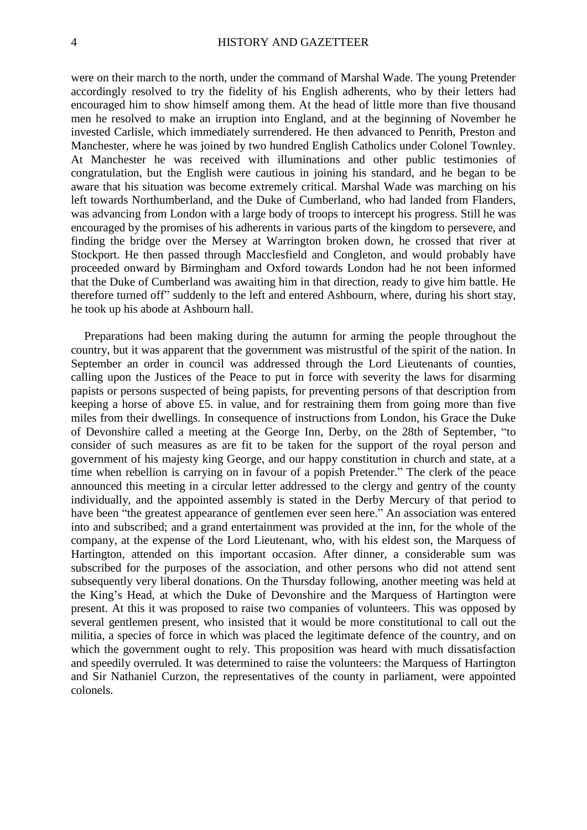were on their march to the north, under the command of Marshal Wade. The young Pretender accordingly resolved to try the fidelity of his English adherents, who by their letters had encouraged him to show himself among them. At the head of little more than five thousand men he resolved to make an irruption into England, and at the beginning of November he invested Carlisle, which immediately surrendered. He then advanced to Penrith, Preston and Manchester, where he was joined by two hundred English Catholics under Colonel Townley. At Manchester he was received with illuminations and other public testimonies of congratulation, but the English were cautious in joining his standard, and he began to be aware that his situation was become extremely critical. Marshal Wade was marching on his left towards Northumberland, and the Duke of Cumberland, who had landed from Flanders, was advancing from London with a large body of troops to intercept his progress. Still he was encouraged by the promises of his adherents in various parts of the kingdom to persevere, and finding the bridge over the Mersey at Warrington broken down, he crossed that river at Stockport. He then passed through Macclesfield and Congleton, and would probably have proceeded onward by Birmingham and Oxford towards London had he not been informed that the Duke of Cumberland was awaiting him in that direction, ready to give him battle. He therefore turned off" suddenly to the left and entered Ashbourn, where, during his short stay, he took up his abode at Ashbourn hall.

Preparations had been making during the autumn for arming the people throughout the country, but it was apparent that the government was mistrustful of the spirit of the nation. In September an order in council was addressed through the Lord Lieutenants of counties, calling upon the Justices of the Peace to put in force with severity the laws for disarming papists or persons suspected of being papists, for preventing persons of that description from keeping a horse of above £5. in value, and for restraining them from going more than five miles from their dwellings. In consequence of instructions from London, his Grace the Duke of Devonshire called a meeting at the George Inn, Derby, on the 28th of September, "to consider of such measures as are fit to be taken for the support of the royal person and government of his majesty king George, and our happy constitution in church and state, at a time when rebellion is carrying on in favour of a popish Pretender." The clerk of the peace announced this meeting in a circular letter addressed to the clergy and gentry of the county individually, and the appointed assembly is stated in the Derby Mercury of that period to have been "the greatest appearance of gentlemen ever seen here." An association was entered into and subscribed; and a grand entertainment was provided at the inn, for the whole of the company, at the expense of the Lord Lieutenant, who, with his eldest son, the Marquess of Hartington, attended on this important occasion. After dinner, a considerable sum was subscribed for the purposes of the association, and other persons who did not attend sent subsequently very liberal donations. On the Thursday following, another meeting was held at the King's Head, at which the Duke of Devonshire and the Marquess of Hartington were present. At this it was proposed to raise two companies of volunteers. This was opposed by several gentlemen present, who insisted that it would be more constitutional to call out the militia, a species of force in which was placed the legitimate defence of the country, and on which the government ought to rely. This proposition was heard with much dissatisfaction and speedily overruled. It was determined to raise the volunteers: the Marquess of Hartington and Sir Nathaniel Curzon, the representatives of the county in parliament, were appointed colonels.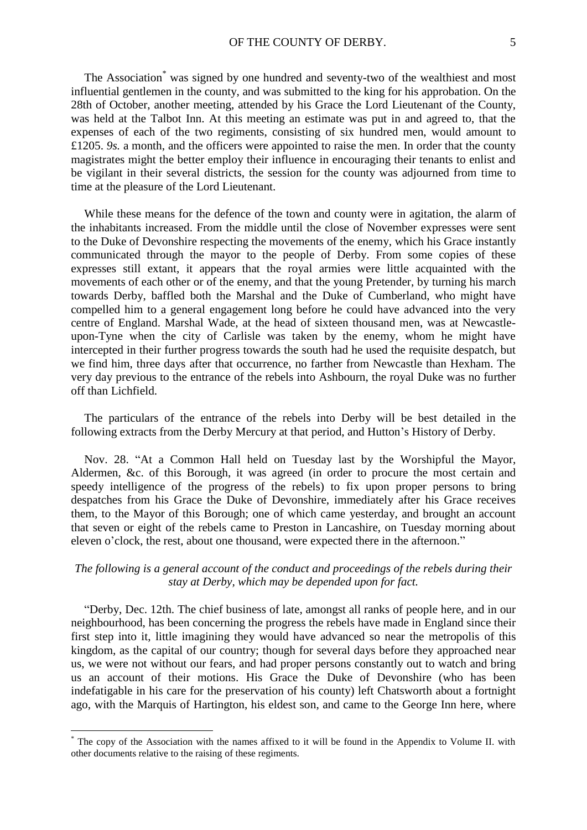The Association<sup>\*</sup> was signed by one hundred and seventy-two of the wealthiest and most influential gentlemen in the county, and was submitted to the king for his approbation. On the 28th of October, another meeting, attended by his Grace the Lord Lieutenant of the County, was held at the Talbot Inn. At this meeting an estimate was put in and agreed to, that the expenses of each of the two regiments, consisting of six hundred men, would amount to £1205. *9s.* a month, and the officers were appointed to raise the men. In order that the county magistrates might the better employ their influence in encouraging their tenants to enlist and be vigilant in their several districts, the session for the county was adjourned from time to time at the pleasure of the Lord Lieutenant.

While these means for the defence of the town and county were in agitation, the alarm of the inhabitants increased. From the middle until the close of November expresses were sent to the Duke of Devonshire respecting the movements of the enemy, which his Grace instantly communicated through the mayor to the people of Derby. From some copies of these expresses still extant, it appears that the royal armies were little acquainted with the movements of each other or of the enemy, and that the young Pretender, by turning his march towards Derby, baffled both the Marshal and the Duke of Cumberland, who might have compelled him to a general engagement long before he could have advanced into the very centre of England. Marshal Wade, at the head of sixteen thousand men, was at Newcastleupon-Tyne when the city of Carlisle was taken by the enemy, whom he might have intercepted in their further progress towards the south had he used the requisite despatch, but we find him, three days after that occurrence, no farther from Newcastle than Hexham. The very day previous to the entrance of the rebels into Ashbourn, the royal Duke was no further off than Lichfield.

The particulars of the entrance of the rebels into Derby will be best detailed in the following extracts from the Derby Mercury at that period, and Hutton's History of Derby.

Nov. 28. "At a Common Hall held on Tuesday last by the Worshipful the Mayor, Aldermen, &c. of this Borough, it was agreed (in order to procure the most certain and speedy intelligence of the progress of the rebels) to fix upon proper persons to bring despatches from his Grace the Duke of Devonshire, immediately after his Grace receives them, to the Mayor of this Borough; one of which came yesterday, and brought an account that seven or eight of the rebels came to Preston in Lancashire, on Tuesday morning about eleven o'clock, the rest, about one thousand, were expected there in the afternoon."

### *The following is a general account of the conduct and proceedings of the rebels during their stay at Derby, which may be depended upon for fact.*

"Derby, Dec. 12th. The chief business of late, amongst all ranks of people here, and in our neighbourhood, has been concerning the progress the rebels have made in England since their first step into it, little imagining they would have advanced so near the metropolis of this kingdom, as the capital of our country; though for several days before they approached near us, we were not without our fears, and had proper persons constantly out to watch and bring us an account of their motions. His Grace the Duke of Devonshire (who has been indefatigable in his care for the preservation of his county) left Chatsworth about a fortnight ago, with the Marquis of Hartington, his eldest son, and came to the George Inn here, where

<u>.</u>

<sup>\*</sup> The copy of the Association with the names affixed to it will be found in the Appendix to Volume II. with other documents relative to the raising of these regiments.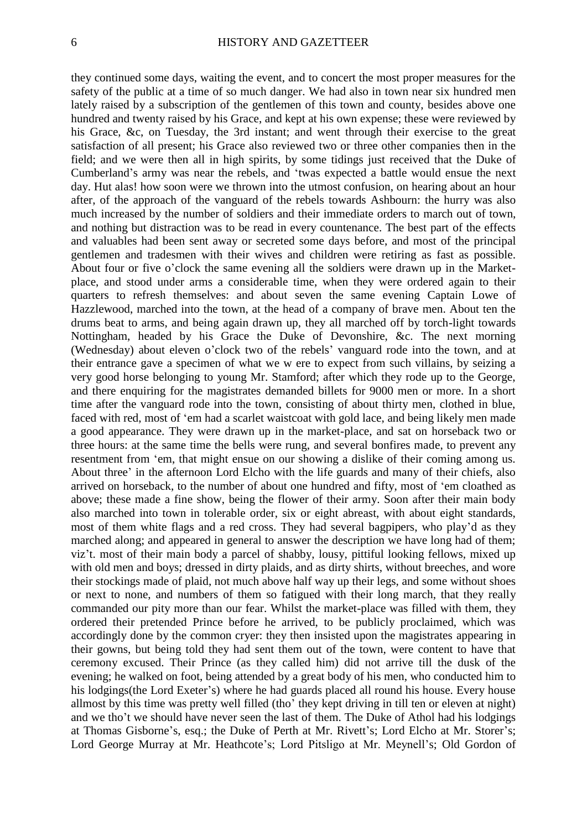they continued some days, waiting the event, and to concert the most proper measures for the safety of the public at a time of so much danger. We had also in town near six hundred men lately raised by a subscription of the gentlemen of this town and county, besides above one hundred and twenty raised by his Grace, and kept at his own expense; these were reviewed by his Grace, &c, on Tuesday, the 3rd instant; and went through their exercise to the great satisfaction of all present; his Grace also reviewed two or three other companies then in the field; and we were then all in high spirits, by some tidings just received that the Duke of Cumberland's army was near the rebels, and 'twas expected a battle would ensue the next day. Hut alas! how soon were we thrown into the utmost confusion, on hearing about an hour after, of the approach of the vanguard of the rebels towards Ashbourn: the hurry was also much increased by the number of soldiers and their immediate orders to march out of town, and nothing but distraction was to be read in every countenance. The best part of the effects and valuables had been sent away or secreted some days before, and most of the principal gentlemen and tradesmen with their wives and children were retiring as fast as possible. About four or five o'clock the same evening all the soldiers were drawn up in the Marketplace, and stood under arms a considerable time, when they were ordered again to their quarters to refresh themselves: and about seven the same evening Captain Lowe of Hazzlewood, marched into the town, at the head of a company of brave men. About ten the drums beat to arms, and being again drawn up, they all marched off by torch-light towards Nottingham, headed by his Grace the Duke of Devonshire, &c. The next morning (Wednesday) about eleven o'clock two of the rebels' vanguard rode into the town, and at their entrance gave a specimen of what we w ere to expect from such villains, by seizing a very good horse belonging to young Mr. Stamford; after which they rode up to the George, and there enquiring for the magistrates demanded billets for 9000 men or more. In a short time after the vanguard rode into the town, consisting of about thirty men, clothed in blue, faced with red, most of 'em had a scarlet waistcoat with gold lace, and being likely men made a good appearance. They were drawn up in the market-place, and sat on horseback two or three hours: at the same time the bells were rung, and several bonfires made, to prevent any resentment from 'em, that might ensue on our showing a dislike of their coming among us. About three' in the afternoon Lord Elcho with the life guards and many of their chiefs, also arrived on horseback, to the number of about one hundred and fifty, most of 'em cloathed as above; these made a fine show, being the flower of their army. Soon after their main body also marched into town in tolerable order, six or eight abreast, with about eight standards, most of them white flags and a red cross. They had several bagpipers, who play'd as they marched along; and appeared in general to answer the description we have long had of them; viz't. most of their main body a parcel of shabby, lousy, pittiful looking fellows, mixed up with old men and boys; dressed in dirty plaids, and as dirty shirts, without breeches, and wore their stockings made of plaid, not much above half way up their legs, and some without shoes or next to none, and numbers of them so fatigued with their long march, that they really commanded our pity more than our fear. Whilst the market-place was filled with them, they ordered their pretended Prince before he arrived, to be publicly proclaimed, which was accordingly done by the common cryer: they then insisted upon the magistrates appearing in their gowns, but being told they had sent them out of the town, were content to have that ceremony excused. Their Prince (as they called him) did not arrive till the dusk of the evening; he walked on foot, being attended by a great body of his men, who conducted him to his lodgings(the Lord Exeter's) where he had guards placed all round his house. Every house allmost by this time was pretty well filled (tho' they kept driving in till ten or eleven at night) and we tho't we should have never seen the last of them. The Duke of Athol had his lodgings at Thomas Gisborne's, esq.; the Duke of Perth at Mr. Rivett's; Lord Elcho at Mr. Storer's; Lord George Murray at Mr. Heathcote's; Lord Pitsligo at Mr. Meynell's; Old Gordon of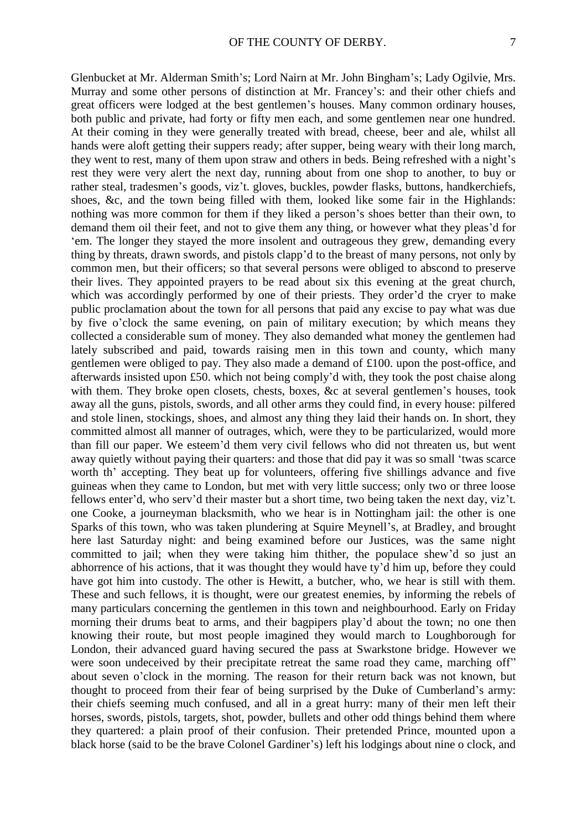Glenbucket at Mr. Alderman Smith's; Lord Nairn at Mr. John Bingham's; Lady Ogilvie, Mrs. Murray and some other persons of distinction at Mr. Francey's: and their other chiefs and great officers were lodged at the best gentlemen's houses. Many common ordinary houses, both public and private, had forty or fifty men each, and some gentlemen near one hundred. At their coming in they were generally treated with bread, cheese, beer and ale, whilst all hands were aloft getting their suppers ready; after supper, being weary with their long march, they went to rest, many of them upon straw and others in beds. Being refreshed with a night's rest they were very alert the next day, running about from one shop to another, to buy or rather steal, tradesmen's goods, viz't. gloves, buckles, powder flasks, buttons, handkerchiefs, shoes, &c, and the town being filled with them, looked like some fair in the Highlands: nothing was more common for them if they liked a person's shoes better than their own, to demand them oil their feet, and not to give them any thing, or however what they pleas'd for 'em. The longer they stayed the more insolent and outrageous they grew, demanding every thing by threats, drawn swords, and pistols clapp'd to the breast of many persons, not only by common men, but their officers; so that several persons were obliged to abscond to preserve their lives. They appointed prayers to be read about six this evening at the great church, which was accordingly performed by one of their priests. They order'd the cryer to make public proclamation about the town for all persons that paid any excise to pay what was due by five o'clock the same evening, on pain of military execution; by which means they collected a considerable sum of money. They also demanded what money the gentlemen had lately subscribed and paid, towards raising men in this town and county, which many gentlemen were obliged to pay. They also made a demand of £100. upon the post-office, and afterwards insisted upon £50. which not being comply'd with, they took the post chaise along with them. They broke open closets, chests, boxes, &c at several gentlemen's houses, took away all the guns, pistols, swords, and all other arms they could find, in every house: pilfered and stole linen, stockings, shoes, and almost any thing they laid their hands on. In short, they committed almost all manner of outrages, which, were they to be particularized, would more than fill our paper. We esteem'd them very civil fellows who did not threaten us, but went away quietly without paying their quarters: and those that did pay it was so small 'twas scarce worth th' accepting. They beat up for volunteers, offering five shillings advance and five guineas when they came to London, but met with very little success; only two or three loose fellows enter'd, who serv'd their master but a short time, two being taken the next day, viz't. one Cooke, a journeyman blacksmith, who we hear is in Nottingham jail: the other is one Sparks of this town, who was taken plundering at Squire Meynell's, at Bradley, and brought here last Saturday night: and being examined before our Justices, was the same night committed to jail; when they were taking him thither, the populace shew'd so just an abhorrence of his actions, that it was thought they would have ty'd him up, before they could have got him into custody. The other is Hewitt, a butcher, who, we hear is still with them. These and such fellows, it is thought, were our greatest enemies, by informing the rebels of many particulars concerning the gentlemen in this town and neighbourhood. Early on Friday morning their drums beat to arms, and their bagpipers play'd about the town; no one then knowing their route, but most people imagined they would march to Loughborough for London, their advanced guard having secured the pass at Swarkstone bridge. However we were soon undeceived by their precipitate retreat the same road they came, marching off" about seven o'clock in the morning. The reason for their return back was not known, but thought to proceed from their fear of being surprised by the Duke of Cumberland's army: their chiefs seeming much confused, and all in a great hurry: many of their men left their horses, swords, pistols, targets, shot, powder, bullets and other odd things behind them where they quartered: a plain proof of their confusion. Their pretended Prince, mounted upon a black horse (said to be the brave Colonel Gardiner's) left his lodgings about nine o clock, and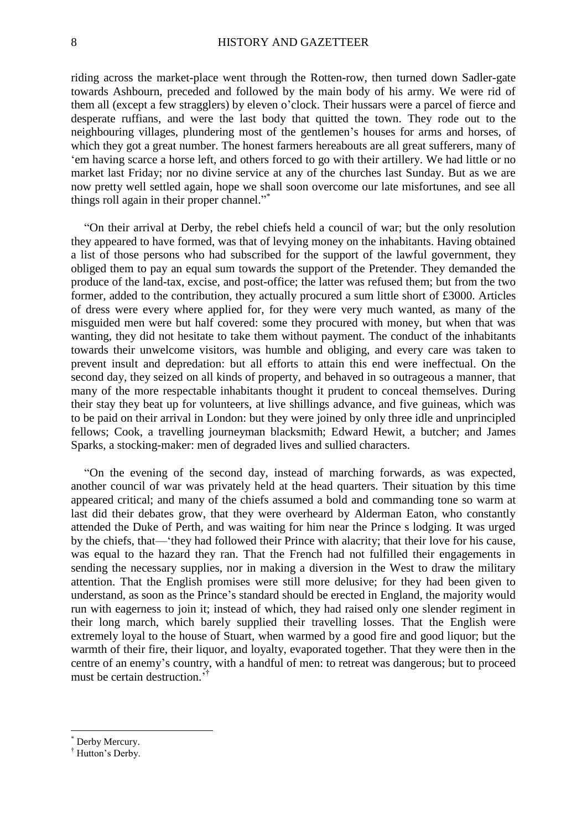riding across the market-place went through the Rotten-row, then turned down Sadler-gate towards Ashbourn, preceded and followed by the main body of his army. We were rid of them all (except a few stragglers) by eleven o'clock. Their hussars were a parcel of fierce and desperate ruffians, and were the last body that quitted the town. They rode out to the neighbouring villages, plundering most of the gentlemen's houses for arms and horses, of which they got a great number. The honest farmers hereabouts are all great sufferers, many of 'em having scarce a horse left, and others forced to go with their artillery. We had little or no market last Friday; nor no divine service at any of the churches last Sunday. But as we are now pretty well settled again, hope we shall soon overcome our late misfortunes, and see all things roll again in their proper channel."<sup>\*</sup>

"On their arrival at Derby, the rebel chiefs held a council of war; but the only resolution they appeared to have formed, was that of levying money on the inhabitants. Having obtained a list of those persons who had subscribed for the support of the lawful government, they obliged them to pay an equal sum towards the support of the Pretender. They demanded the produce of the land-tax, excise, and post-office; the latter was refused them; but from the two former, added to the contribution, they actually procured a sum little short of £3000. Articles of dress were every where applied for, for they were very much wanted, as many of the misguided men were but half covered: some they procured with money, but when that was wanting, they did not hesitate to take them without payment. The conduct of the inhabitants towards their unwelcome visitors, was humble and obliging, and every care was taken to prevent insult and depredation: but all efforts to attain this end were ineffectual. On the second day, they seized on all kinds of property, and behaved in so outrageous a manner, that many of the more respectable inhabitants thought it prudent to conceal themselves. During their stay they beat up for volunteers, at live shillings advance, and five guineas, which was to be paid on their arrival in London: but they were joined by only three idle and unprincipled fellows; Cook, a travelling journeyman blacksmith; Edward Hewit, a butcher; and James Sparks, a stocking-maker: men of degraded lives and sullied characters.

"On the evening of the second day, instead of marching forwards, as was expected, another council of war was privately held at the head quarters. Their situation by this time appeared critical; and many of the chiefs assumed a bold and commanding tone so warm at last did their debates grow, that they were overheard by Alderman Eaton, who constantly attended the Duke of Perth, and was waiting for him near the Prince s lodging. It was urged by the chiefs, that—'they had followed their Prince with alacrity; that their love for his cause, was equal to the hazard they ran. That the French had not fulfilled their engagements in sending the necessary supplies, nor in making a diversion in the West to draw the military attention. That the English promises were still more delusive; for they had been given to understand, as soon as the Prince's standard should be erected in England, the majority would run with eagerness to join it; instead of which, they had raised only one slender regiment in their long march, which barely supplied their travelling losses. That the English were extremely loyal to the house of Stuart, when warmed by a good fire and good liquor; but the warmth of their fire, their liquor, and loyalty, evaporated together. That they were then in the centre of an enemy's country, with a handful of men: to retreat was dangerous; but to proceed must be certain destruction.' †

<u>.</u>

Derby Mercury.

<sup>†</sup> Hutton's Derby.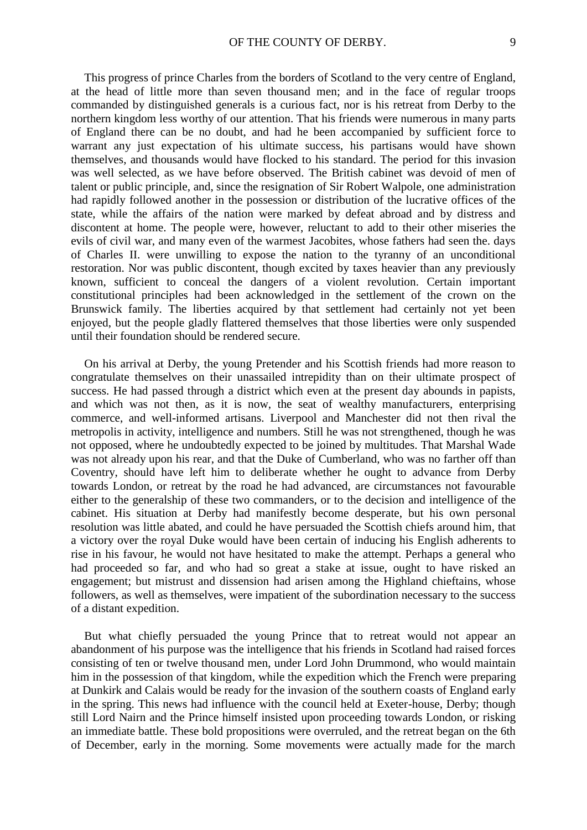This progress of prince Charles from the borders of Scotland to the very centre of England, at the head of little more than seven thousand men; and in the face of regular troops commanded by distinguished generals is a curious fact, nor is his retreat from Derby to the northern kingdom less worthy of our attention. That his friends were numerous in many parts of England there can be no doubt, and had he been accompanied by sufficient force to warrant any just expectation of his ultimate success, his partisans would have shown themselves, and thousands would have flocked to his standard. The period for this invasion was well selected, as we have before observed. The British cabinet was devoid of men of talent or public principle, and, since the resignation of Sir Robert Walpole, one administration had rapidly followed another in the possession or distribution of the lucrative offices of the state, while the affairs of the nation were marked by defeat abroad and by distress and discontent at home. The people were, however, reluctant to add to their other miseries the evils of civil war, and many even of the warmest Jacobites, whose fathers had seen the. days of Charles II. were unwilling to expose the nation to the tyranny of an unconditional restoration. Nor was public discontent, though excited by taxes heavier than any previously known, sufficient to conceal the dangers of a violent revolution. Certain important constitutional principles had been acknowledged in the settlement of the crown on the Brunswick family. The liberties acquired by that settlement had certainly not yet been enjoyed, but the people gladly flattered themselves that those liberties were only suspended until their foundation should be rendered secure.

On his arrival at Derby, the young Pretender and his Scottish friends had more reason to congratulate themselves on their unassailed intrepidity than on their ultimate prospect of success. He had passed through a district which even at the present day abounds in papists, and which was not then, as it is now, the seat of wealthy manufacturers, enterprising commerce, and well-informed artisans. Liverpool and Manchester did not then rival the metropolis in activity, intelligence and numbers. Still he was not strengthened, though he was not opposed, where he undoubtedly expected to be joined by multitudes. That Marshal Wade was not already upon his rear, and that the Duke of Cumberland, who was no farther off than Coventry, should have left him to deliberate whether he ought to advance from Derby towards London, or retreat by the road he had advanced, are circumstances not favourable either to the generalship of these two commanders, or to the decision and intelligence of the cabinet. His situation at Derby had manifestly become desperate, but his own personal resolution was little abated, and could he have persuaded the Scottish chiefs around him, that a victory over the royal Duke would have been certain of inducing his English adherents to rise in his favour, he would not have hesitated to make the attempt. Perhaps a general who had proceeded so far, and who had so great a stake at issue, ought to have risked an engagement; but mistrust and dissension had arisen among the Highland chieftains, whose followers, as well as themselves, were impatient of the subordination necessary to the success of a distant expedition.

But what chiefly persuaded the young Prince that to retreat would not appear an abandonment of his purpose was the intelligence that his friends in Scotland had raised forces consisting of ten or twelve thousand men, under Lord John Drummond, who would maintain him in the possession of that kingdom, while the expedition which the French were preparing at Dunkirk and Calais would be ready for the invasion of the southern coasts of England early in the spring. This news had influence with the council held at Exeter-house, Derby; though still Lord Nairn and the Prince himself insisted upon proceeding towards London, or risking an immediate battle. These bold propositions were overruled, and the retreat began on the 6th of December, early in the morning. Some movements were actually made for the march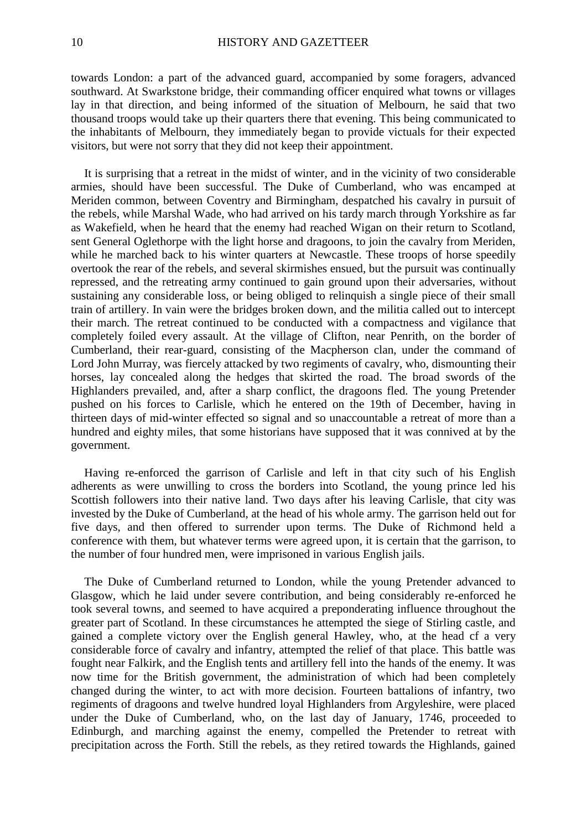towards London: a part of the advanced guard, accompanied by some foragers, advanced southward. At Swarkstone bridge, their commanding officer enquired what towns or villages lay in that direction, and being informed of the situation of Melbourn, he said that two thousand troops would take up their quarters there that evening. This being communicated to the inhabitants of Melbourn, they immediately began to provide victuals for their expected visitors, but were not sorry that they did not keep their appointment.

It is surprising that a retreat in the midst of winter, and in the vicinity of two considerable armies, should have been successful. The Duke of Cumberland, who was encamped at Meriden common, between Coventry and Birmingham, despatched his cavalry in pursuit of the rebels, while Marshal Wade, who had arrived on his tardy march through Yorkshire as far as Wakefield, when he heard that the enemy had reached Wigan on their return to Scotland, sent General Oglethorpe with the light horse and dragoons, to join the cavalry from Meriden, while he marched back to his winter quarters at Newcastle. These troops of horse speedily overtook the rear of the rebels, and several skirmishes ensued, but the pursuit was continually repressed, and the retreating army continued to gain ground upon their adversaries, without sustaining any considerable loss, or being obliged to relinquish a single piece of their small train of artillery. In vain were the bridges broken down, and the militia called out to intercept their march. The retreat continued to be conducted with a compactness and vigilance that completely foiled every assault. At the village of Clifton, near Penrith, on the border of Cumberland, their rear-guard, consisting of the Macpherson clan, under the command of Lord John Murray, was fiercely attacked by two regiments of cavalry, who, dismounting their horses, lay concealed along the hedges that skirted the road. The broad swords of the Highlanders prevailed, and, after a sharp conflict, the dragoons fled. The young Pretender pushed on his forces to Carlisle, which he entered on the 19th of December, having in thirteen days of mid-winter effected so signal and so unaccountable a retreat of more than a hundred and eighty miles, that some historians have supposed that it was connived at by the government.

Having re-enforced the garrison of Carlisle and left in that city such of his English adherents as were unwilling to cross the borders into Scotland, the young prince led his Scottish followers into their native land. Two days after his leaving Carlisle, that city was invested by the Duke of Cumberland, at the head of his whole army. The garrison held out for five days, and then offered to surrender upon terms. The Duke of Richmond held a conference with them, but whatever terms were agreed upon, it is certain that the garrison, to the number of four hundred men, were imprisoned in various English jails.

The Duke of Cumberland returned to London, while the young Pretender advanced to Glasgow, which he laid under severe contribution, and being considerably re-enforced he took several towns, and seemed to have acquired a preponderating influence throughout the greater part of Scotland. In these circumstances he attempted the siege of Stirling castle, and gained a complete victory over the English general Hawley, who, at the head cf a very considerable force of cavalry and infantry, attempted the relief of that place. This battle was fought near Falkirk, and the English tents and artillery fell into the hands of the enemy. It was now time for the British government, the administration of which had been completely changed during the winter, to act with more decision. Fourteen battalions of infantry, two regiments of dragoons and twelve hundred loyal Highlanders from Argyleshire, were placed under the Duke of Cumberland, who, on the last day of January, 1746, proceeded to Edinburgh, and marching against the enemy, compelled the Pretender to retreat with precipitation across the Forth. Still the rebels, as they retired towards the Highlands, gained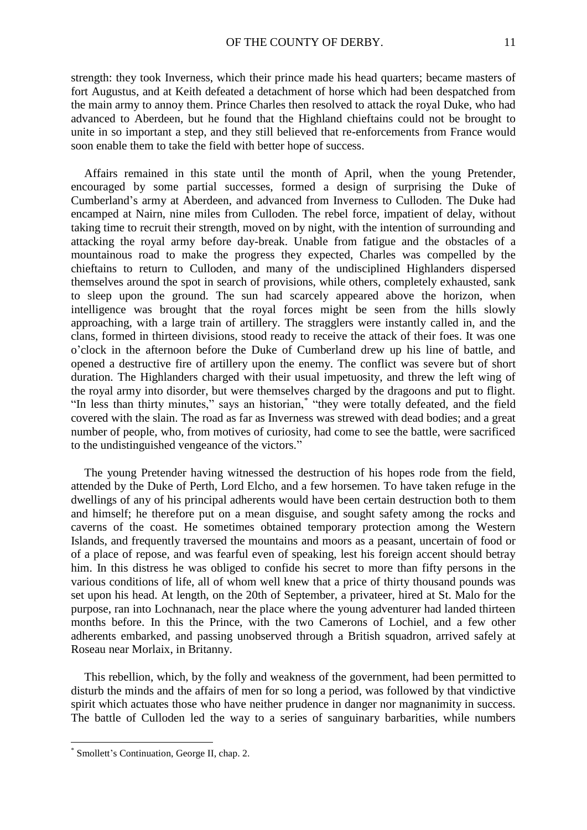strength: they took Inverness, which their prince made his head quarters; became masters of fort Augustus, and at Keith defeated a detachment of horse which had been despatched from the main army to annoy them. Prince Charles then resolved to attack the royal Duke, who had advanced to Aberdeen, but he found that the Highland chieftains could not be brought to unite in so important a step, and they still believed that re-enforcements from France would soon enable them to take the field with better hope of success.

Affairs remained in this state until the month of April, when the young Pretender, encouraged by some partial successes, formed a design of surprising the Duke of Cumberland's army at Aberdeen, and advanced from Inverness to Culloden. The Duke had encamped at Nairn, nine miles from Culloden. The rebel force, impatient of delay, without taking time to recruit their strength, moved on by night, with the intention of surrounding and attacking the royal army before day-break. Unable from fatigue and the obstacles of a mountainous road to make the progress they expected, Charles was compelled by the chieftains to return to Culloden, and many of the undisciplined Highlanders dispersed themselves around the spot in search of provisions, while others, completely exhausted, sank to sleep upon the ground. The sun had scarcely appeared above the horizon, when intelligence was brought that the royal forces might be seen from the hills slowly approaching, with a large train of artillery. The stragglers were instantly called in, and the clans, formed in thirteen divisions, stood ready to receive the attack of their foes. It was one o'clock in the afternoon before the Duke of Cumberland drew up his line of battle, and opened a destructive fire of artillery upon the enemy. The conflict was severe but of short duration. The Highlanders charged with their usual impetuosity, and threw the left wing of the royal army into disorder, but were themselves charged by the dragoons and put to flight. "In less than thirty minutes," says an historian,<sup>\*</sup> "they were totally defeated, and the field covered with the slain. The road as far as Inverness was strewed with dead bodies; and a great number of people, who, from motives of curiosity, had come to see the battle, were sacrificed to the undistinguished vengeance of the victors."

The young Pretender having witnessed the destruction of his hopes rode from the field, attended by the Duke of Perth, Lord Elcho, and a few horsemen. To have taken refuge in the dwellings of any of his principal adherents would have been certain destruction both to them and himself; he therefore put on a mean disguise, and sought safety among the rocks and caverns of the coast. He sometimes obtained temporary protection among the Western Islands, and frequently traversed the mountains and moors as a peasant, uncertain of food or of a place of repose, and was fearful even of speaking, lest his foreign accent should betray him. In this distress he was obliged to confide his secret to more than fifty persons in the various conditions of life, all of whom well knew that a price of thirty thousand pounds was set upon his head. At length, on the 20th of September, a privateer, hired at St. Malo for the purpose, ran into Lochnanach, near the place where the young adventurer had landed thirteen months before. In this the Prince, with the two Camerons of Lochiel, and a few other adherents embarked, and passing unobserved through a British squadron, arrived safely at Roseau near Morlaix, in Britanny.

This rebellion, which, by the folly and weakness of the government, had been permitted to disturb the minds and the affairs of men for so long a period, was followed by that vindictive spirit which actuates those who have neither prudence in danger nor magnanimity in success. The battle of Culloden led the way to a series of sanguinary barbarities, while numbers

1

<sup>\*</sup> Smollett's Continuation, George II, chap. 2.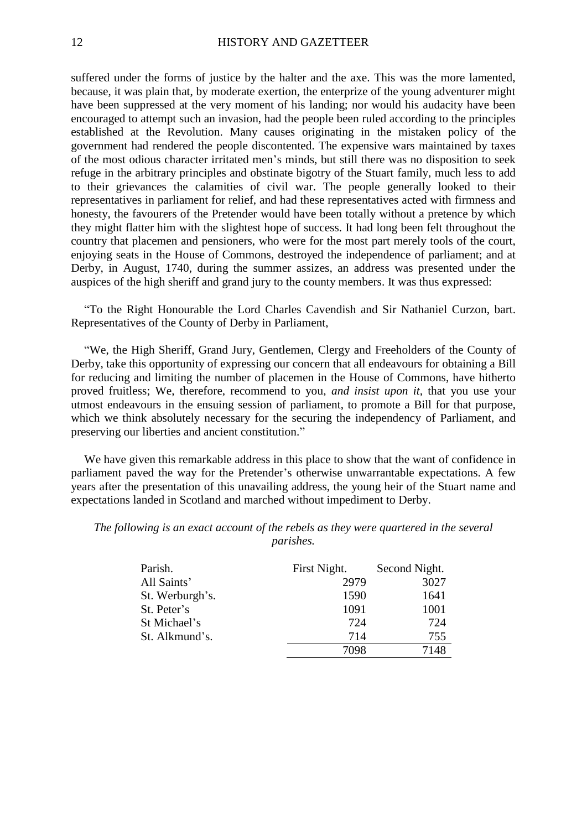suffered under the forms of justice by the halter and the axe. This was the more lamented, because, it was plain that, by moderate exertion, the enterprize of the young adventurer might have been suppressed at the very moment of his landing; nor would his audacity have been encouraged to attempt such an invasion, had the people been ruled according to the principles established at the Revolution. Many causes originating in the mistaken policy of the government had rendered the people discontented. The expensive wars maintained by taxes of the most odious character irritated men's minds, but still there was no disposition to seek refuge in the arbitrary principles and obstinate bigotry of the Stuart family, much less to add to their grievances the calamities of civil war. The people generally looked to their representatives in parliament for relief, and had these representatives acted with firmness and honesty, the favourers of the Pretender would have been totally without a pretence by which they might flatter him with the slightest hope of success. It had long been felt throughout the country that placemen and pensioners, who were for the most part merely tools of the court, enjoying seats in the House of Commons, destroyed the independence of parliament; and at Derby, in August, 1740, during the summer assizes, an address was presented under the auspices of the high sheriff and grand jury to the county members. It was thus expressed:

"To the Right Honourable the Lord Charles Cavendish and Sir Nathaniel Curzon, bart. Representatives of the County of Derby in Parliament,

"We, the High Sheriff, Grand Jury, Gentlemen, Clergy and Freeholders of the County of Derby, take this opportunity of expressing our concern that all endeavours for obtaining a Bill for reducing and limiting the number of placemen in the House of Commons, have hitherto proved fruitless; We, therefore, recommend to you, *and insist upon it,* that you use your utmost endeavours in the ensuing session of parliament, to promote a Bill for that purpose, which we think absolutely necessary for the securing the independency of Parliament, and preserving our liberties and ancient constitution."

We have given this remarkable address in this place to show that the want of confidence in parliament paved the way for the Pretender's otherwise unwarrantable expectations. A few years after the presentation of this unavailing address, the young heir of the Stuart name and expectations landed in Scotland and marched without impediment to Derby.

*The following is an exact account of the rebels as they were quartered in the several parishes.*

| Parish.         | First Night. | Second Night. |
|-----------------|--------------|---------------|
| All Saints'     | 2979         | 3027          |
| St. Werburgh's. | 1590         | 1641          |
| St. Peter's     | 1091         | 1001          |
| St Michael's    | 724          | 724           |
| St. Alkmund's.  | 714          | 755           |
|                 | 7098         | 7148          |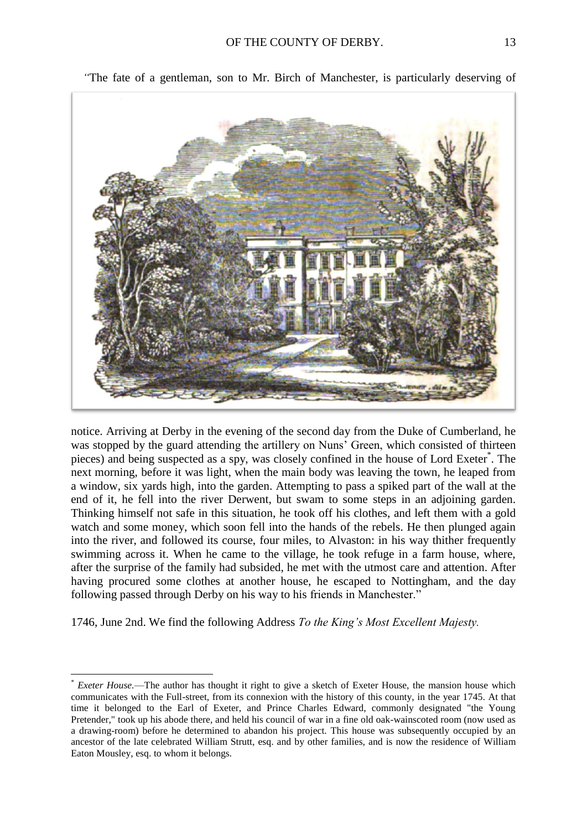

*"*The fate of a gentleman, son to Mr. Birch of Manchester, is particularly deserving of

notice. Arriving at Derby in the evening of the second day from the Duke of Cumberland, he was stopped by the guard attending the artillery on Nuns' Green, which consisted of thirteen pieces) and being suspected as a spy, was closely confined in the house of Lord Exeter<sup>\*</sup>. The next morning, before it was light, when the main body was leaving the town, he leaped from a window, six yards high, into the garden. Attempting to pass a spiked part of the wall at the end of it, he fell into the river Derwent, but swam to some steps in an adjoining garden. Thinking himself not safe in this situation, he took off his clothes, and left them with a gold watch and some money, which soon fell into the hands of the rebels. He then plunged again into the river, and followed its course, four miles, to Alvaston: in his way thither frequently swimming across it. When he came to the village, he took refuge in a farm house, where, after the surprise of the family had subsided, he met with the utmost care and attention. After having procured some clothes at another house, he escaped to Nottingham, and the day following passed through Derby on his way to his friends in Manchester."

1746, June 2nd. We find the following Address *To the King's Most Excellent Majesty.*

1

*Exeter House.*—The author has thought it right to give a sketch of Exeter House, the mansion house which communicates with the Full-street, from its connexion with the history of this county, in the year 1745. At that time it belonged to the Earl of Exeter, and Prince Charles Edward, commonly designated "the Young Pretender," took up his abode there, and held his council of war in a fine old oak-wainscoted room (now used as a drawing-room) before he determined to abandon his project. This house was subsequently occupied by an ancestor of the late celebrated William Strutt, esq. and by other families, and is now the residence of William Eaton Mousley, esq. to whom it belongs.